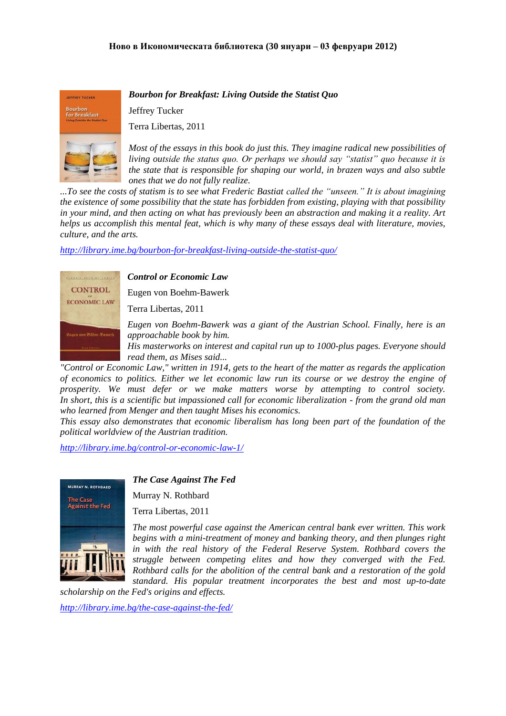**JEFFREY TUCKER** Bourbon<br>for Breakfast

*Bourbon for Breakfast: Living Outside the Statist Quo*

Jeffrey Tucker

Terra Libertas, 2011

*Most of the essays in this book do just this. They imagine radical new possibilities of living outside the status quo. Or perhaps we should say "statist" quo because it is the state that is responsible for shaping our world, in brazen ways and also subtle ones that we do not fully realize.*

*...To see the costs of statism is to see what Frederic Bastiat called the "unseen." It is about imagining the existence of some possibility that the state has forbidden from existing, playing with that possibility in your mind, and then acting on what has previously been an abstraction and making it a reality. Art helps us accomplish this mental feat, which is why many of these essays deal with literature, movies, culture, and the arts.*

*<http://library.ime.bg/bourbon-for-breakfast-living-outside-the-statist-quo/>*



*Control or Economic Law*

Eugen von Boehm-Bawerk

Terra Libertas, 2011

*Eugen von Boehm-Bawerk was a giant of the Austrian School. Finally, here is an approachable book by him.*

*His masterworks on interest and capital run up to 1000-plus pages. Everyone should read them, as Mises said...*

*"Control or Economic Law," written in 1914, gets to the heart of the matter as regards the application of economics to politics. Either we let economic law run its course or we destroy the engine of prosperity. We must defer or we make matters worse by attempting to control society. In short, this is a scientific but impassioned call for economic liberalization - from the grand old man who learned from Menger and then taught Mises his economics.*

*This essay also demonstrates that economic liberalism has long been part of the foundation of the political worldview of the Austrian tradition.*

*<http://library.ime.bg/control-or-economic-law-1/>*



*The Case Against The Fed*

Murray N. Rothbard

Terra Libertas, 2011

*The most powerful case against the American central bank ever written. This work begins with a mini-treatment of money and banking theory, and then plunges right*  in with the real history of the Federal Reserve System. Rothbard covers the *struggle between competing elites and how they converged with the Fed. Rothbard calls for the abolition of the central bank and a restoration of the gold standard. His popular treatment incorporates the best and most up-to-date* 

*scholarship on the Fed's origins and effects.*

*<http://library.ime.bg/the-case-against-the-fed/>*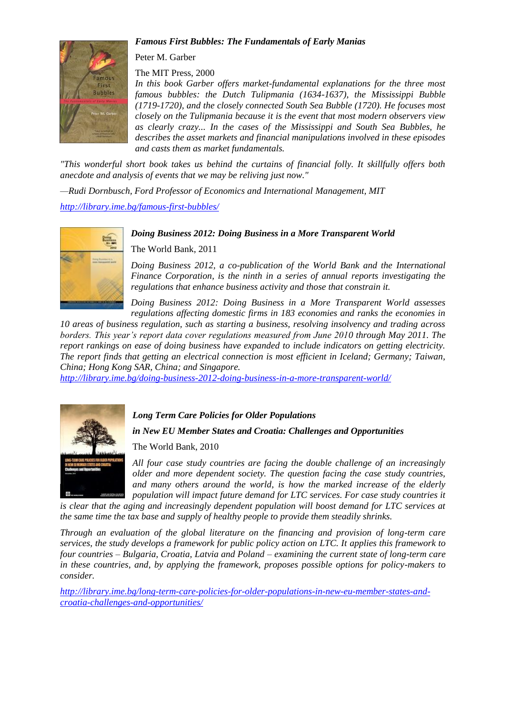## *Famous First Bubbles: The Fundamentals of Early Manias*



Peter M. Garber

The MIT Press, 2000

*In this book Garber offers market-fundamental explanations for the three most famous bubbles: the Dutch Tulipmania (1634-1637), the Mississippi Bubble (1719-1720), and the closely connected South Sea Bubble (1720). He focuses most closely on the Tulipmania because it is the event that most modern observers view as clearly crazy... In the cases of the Mississippi and South Sea Bubbles, he describes the asset markets and financial manipulations involved in these episodes and casts them as market fundamentals.*

*"This wonderful short book takes us behind the curtains of financial folly. It skillfully offers both anecdote and analysis of events that we may be reliving just now."*

*—Rudi Dornbusch, Ford Professor of Economics and International Management, MIT*

*<http://library.ime.bg/famous-first-bubbles/>*

## *Doing Business 2012: Doing Business in a More Transparent World*



The World Bank, 2011

*Doing Business 2012, a co-publication of the World Bank and the International Finance Corporation, is the ninth in a series of annual reports investigating the regulations that enhance business activity and those that constrain it.*

*Doing Business 2012: Doing Business in a More Transparent World assesses regulations affecting domestic firms in 183 economies and ranks the economies in* 

*10 areas of business regulation, such as starting a business, resolving insolvency and trading across borders. This year's report data cover regulations measured from June 2010 through May 2011. The report rankings on ease of doing business have expanded to include indicators on getting electricity. The report finds that getting an electrical connection is most efficient in Iceland; Germany; Taiwan, China; Hong Kong SAR, China; and Singapore.* 

*<http://library.ime.bg/doing-business-2012-doing-business-in-a-more-transparent-world/>*



## *Long Term Care Policies for Older Populations*

*in New EU Member States and Croatia: Challenges and Opportunities*

The World Bank, 2010

*All four case study countries are facing the double challenge of an increasingly older and more dependent society. The question facing the case study countries, and many others around the world, is how the marked increase of the elderly population will impact future demand for LTC services. For case study countries it* 

is clear that the aging and increasingly dependent population will boost demand for LTC services at *the same time the tax base and supply of healthy people to provide them steadily shrinks.*

*Through an evaluation of the global literature on the financing and provision of long-term care services, the study develops a framework for public policy action on LTC. It applies this framework to four countries – Bulgaria, Croatia, Latvia and Poland – examining the current state of long-term care in these countries, and, by applying the framework, proposes possible options for policy-makers to consider.*

*[http://library.ime.bg/long-term-care-policies-for-older-populations-in-new-eu-member-states-and](http://library.ime.bg/long-term-care-policies-for-older-populations-in-new-eu-member-states-and-croatia-challenges-and-opportunities/)[croatia-challenges-and-opportunities/](http://library.ime.bg/long-term-care-policies-for-older-populations-in-new-eu-member-states-and-croatia-challenges-and-opportunities/)*